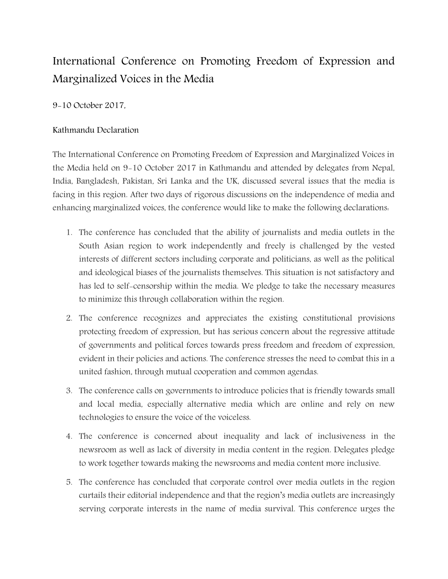## International Conference on Promoting Freedom of Expression and Marginalized Voices in the Media

9-10 October 2017,

## Kathmandu Declaration

The International Conference on Promoting Freedom of Expression and Marginalized Voices in the Media held on 9-10 October 2017 in Kathmandu and attended by delegates from Nepal, India, Bangladesh, Pakistan, Sri Lanka and the UK, discussed several issues that the media is facing in this region. After two days of rigorous discussions on the independence of media and enhancing marginalized voices, the conference would like to make the following declarations:

- 1. The conference has concluded that the ability of journalists and media outlets in the South Asian region to work independently and freely is challenged by the vested interests of different sectors including corporate and politicians, as well as the political and ideological biases of the journalists themselves. This situation is not satisfactory and has led to self-censorship within the media. We pledge to take the necessary measures to minimize this through collaboration within the region.
- 2. The conference recognizes and appreciates the existing constitutional provisions protecting freedom of expression, but has serious concern about the regressive attitude of governments and political forces towards press freedom and freedom of expression, evident in their policies and actions. The conference stresses the need to combat this in a united fashion, through mutual cooperation and common agendas.
- 3. The conference calls on governments to introduce policies that is friendly towards small and local media, especially alternative media which are online and rely on new technologies to ensure the voice of the voiceless.
- 4. The conference is concerned about inequality and lack of inclusiveness in the newsroom as well as lack of diversity in media content in the region. Delegates pledge to work together towards making the newsrooms and media content more inclusive.
- 5. The conference has concluded that corporate control over media outlets in the region curtails their editorial independence and that the region's media outlets are increasingly serving corporate interests in the name of media survival. This conference urges the